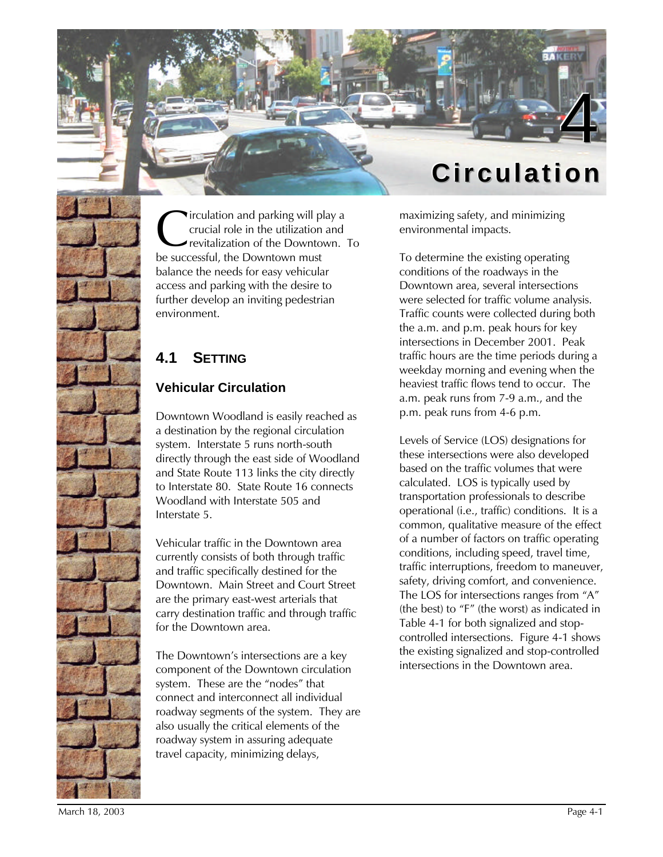

irculation and parking will play a crucial role in the utilization and revitalization of the Downtown. To **C**irculation and parking will pl<br>crucial role in the utilization<br>be successful, the Downtown must balance the needs for easy vehicular access and parking with the desire to further develop an inviting pedestrian environment.

# **4.1 SETTING**

### **Vehicular Circulation**

Downtown Woodland is easily reached as a destination by the regional circulation system. Interstate 5 runs north-south directly through the east side of Woodland and State Route 113 links the city directly to Interstate 80. State Route 16 connects Woodland with Interstate 505 and Interstate 5.

Vehicular traffic in the Downtown area currently consists of both through traffic and traffic specifically destined for the Downtown. Main Street and Court Street are the primary east-west arterials that carry destination traffic and through traffic for the Downtown area.

The Downtown's intersections are a key component of the Downtown circulation system. These are the "nodes" that connect and interconnect all individual roadway segments of the system. They are also usually the critical elements of the roadway system in assuring adequate travel capacity, minimizing delays,

maximizing safety, and minimizing environmental impacts.

To determine the existing operating conditions of the roadways in the Downtown area, several intersections were selected for traffic volume analysis. Traffic counts were collected during both the a.m. and p.m. peak hours for key intersections in December 2001. Peak traffic hours are the time periods during a weekday morning and evening when the heaviest traffic flows tend to occur. The a.m. peak runs from 7-9 a.m., and the p.m. peak runs from 4-6 p.m.

Levels of Service (LOS) designations for these intersections were also developed based on the traffic volumes that were calculated. LOS is typically used by transportation professionals to describe operational (i.e., traffic) conditions. It is a common, qualitative measure of the effect of a number of factors on traffic operating conditions, including speed, travel time, traffic interruptions, freedom to maneuver, safety, driving comfort, and convenience. The LOS for intersections ranges from "A" (the best) to "F" (the worst) as indicated in Table 4-1 for both signalized and stopcontrolled intersections. Figure 4-1 shows the existing signalized and stop-controlled intersections in the Downtown area.

March 18, 2003 Page 4-1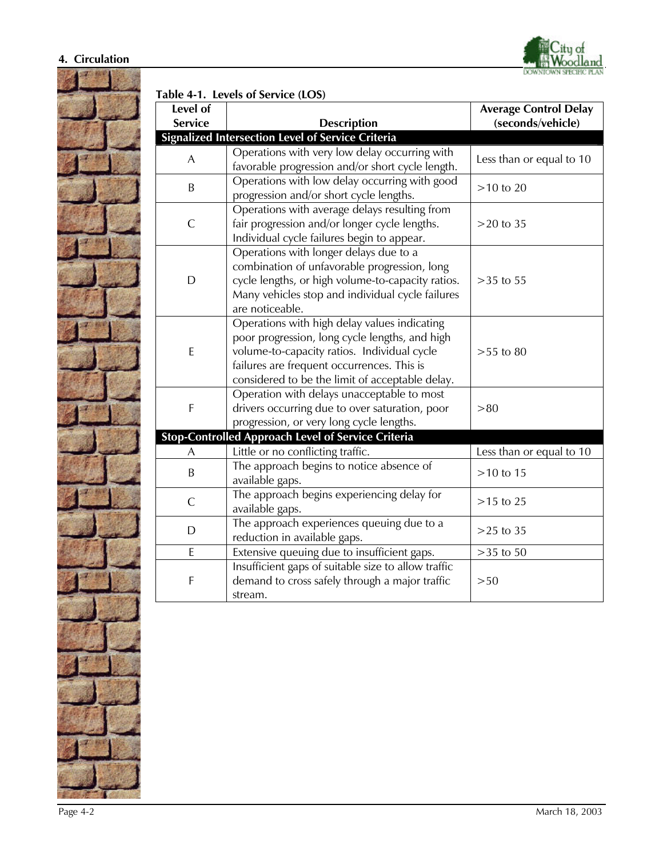#### **4. Circulation**



**Table 4-1. Levels of Service (LOS)**

| Level of                                                  |                                                     | <b>Average Control Delay</b> |  |  |  |  |
|-----------------------------------------------------------|-----------------------------------------------------|------------------------------|--|--|--|--|
| <b>Service</b>                                            | <b>Description</b>                                  | (seconds/vehicle)            |  |  |  |  |
| <b>Signalized Intersection Level of Service Criteria</b>  |                                                     |                              |  |  |  |  |
| A                                                         | Operations with very low delay occurring with       | Less than or equal to 10     |  |  |  |  |
|                                                           | favorable progression and/or short cycle length.    |                              |  |  |  |  |
| B                                                         | Operations with low delay occurring with good       | $>10$ to $20$                |  |  |  |  |
|                                                           | progression and/or short cycle lengths.             |                              |  |  |  |  |
| $\mathsf{C}$                                              | Operations with average delays resulting from       |                              |  |  |  |  |
|                                                           | fair progression and/or longer cycle lengths.       | $>20$ to $35$                |  |  |  |  |
|                                                           | Individual cycle failures begin to appear.          |                              |  |  |  |  |
| D                                                         | Operations with longer delays due to a              |                              |  |  |  |  |
|                                                           | combination of unfavorable progression, long        |                              |  |  |  |  |
|                                                           | cycle lengths, or high volume-to-capacity ratios.   | $>35$ to 55                  |  |  |  |  |
|                                                           | Many vehicles stop and individual cycle failures    |                              |  |  |  |  |
|                                                           | are noticeable.                                     |                              |  |  |  |  |
| $\mathsf E$                                               | Operations with high delay values indicating        |                              |  |  |  |  |
|                                                           | poor progression, long cycle lengths, and high      |                              |  |  |  |  |
|                                                           | volume-to-capacity ratios. Individual cycle         | $>55$ to 80                  |  |  |  |  |
|                                                           | failures are frequent occurrences. This is          |                              |  |  |  |  |
|                                                           | considered to be the limit of acceptable delay.     |                              |  |  |  |  |
| F                                                         | Operation with delays unacceptable to most          |                              |  |  |  |  |
|                                                           | drivers occurring due to over saturation, poor      | > 80                         |  |  |  |  |
|                                                           | progression, or very long cycle lengths.            |                              |  |  |  |  |
| <b>Stop-Controlled Approach Level of Service Criteria</b> |                                                     |                              |  |  |  |  |
| A                                                         | Little or no conflicting traffic.                   | Less than or equal to 10     |  |  |  |  |
| $\sf B$                                                   | The approach begins to notice absence of            | $>10$ to 15                  |  |  |  |  |
|                                                           | available gaps.                                     |                              |  |  |  |  |
| $\mathsf{C}$                                              | The approach begins experiencing delay for          | $>15$ to $25$                |  |  |  |  |
|                                                           | available gaps.                                     |                              |  |  |  |  |
| D                                                         | The approach experiences queuing due to a           | $>25$ to 35                  |  |  |  |  |
|                                                           | reduction in available gaps.                        |                              |  |  |  |  |
| E                                                         | Extensive queuing due to insufficient gaps.         | $>35$ to $50$                |  |  |  |  |
| F                                                         | Insufficient gaps of suitable size to allow traffic |                              |  |  |  |  |
|                                                           | demand to cross safely through a major traffic      | >50                          |  |  |  |  |
|                                                           | stream.                                             |                              |  |  |  |  |

City of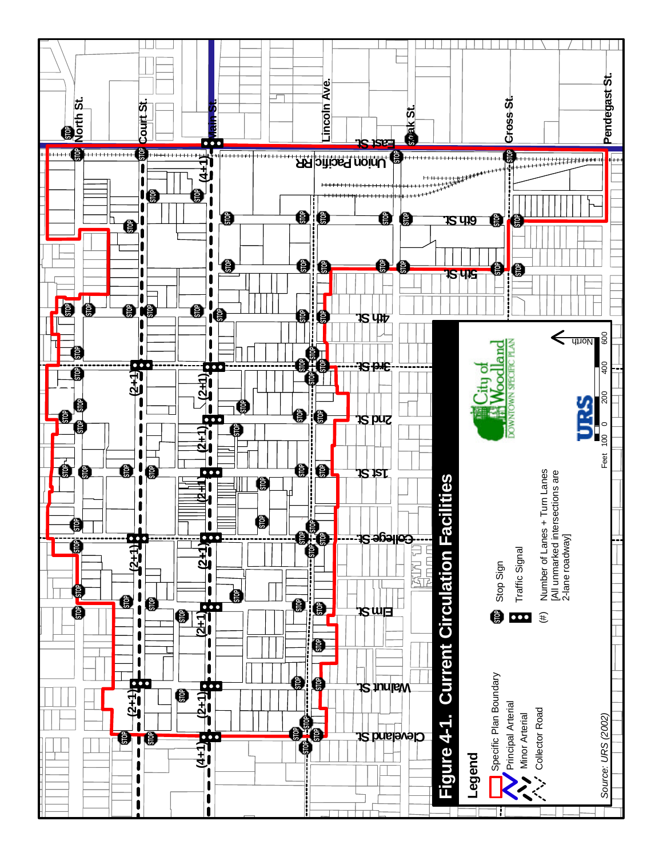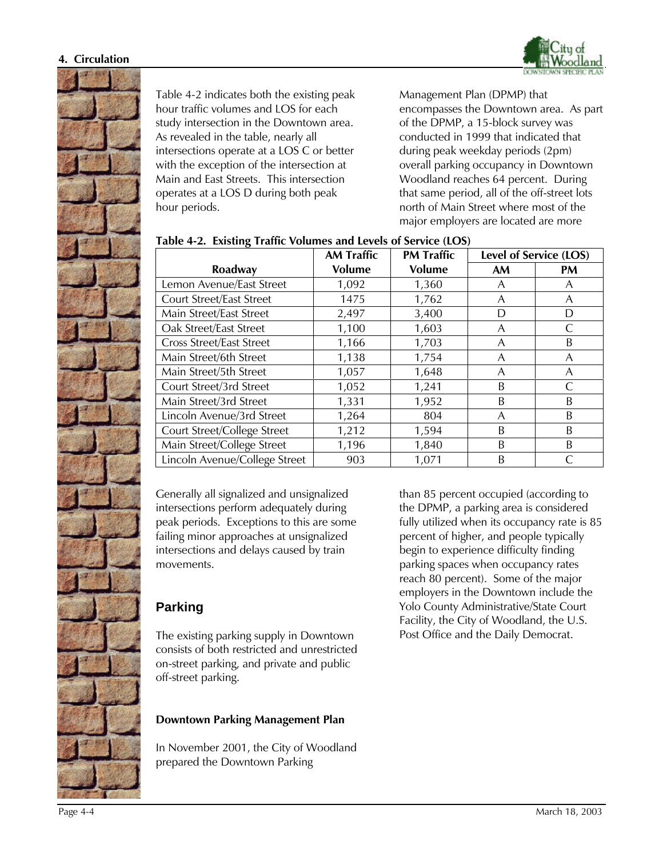



Table 4-2 indicates both the existing peak hour traffic volumes and LOS for each study intersection in the Downtown area. As revealed in the table, nearly all intersections operate at a LOS C or better with the exception of the intersection at Main and East Streets. This intersection operates at a LOS D during both peak hour periods.

Management Plan (DPMP) that encompasses the Downtown area. As part of the DPMP, a 15-block survey was conducted in 1999 that indicated that during peak weekday periods (2pm) overall parking occupancy in Downtown Woodland reaches 64 percent. During that same period, all of the off-street lots north of Main Street where most of the major employers are located are more

|                                 | <b>AM Traffic</b> | <b>PM Traffic</b> | Level of Service (LOS) |           |
|---------------------------------|-------------------|-------------------|------------------------|-----------|
| Roadway                         | <b>Volume</b>     | <b>Volume</b>     | <b>AM</b>              | <b>PM</b> |
| Lemon Avenue/East Street        | 1,092             | 1,360             | A                      | A         |
| Court Street/East Street        | 1475              | 1,762             | A                      | A         |
| Main Street/East Street         | 2,497             | 3,400             | D                      | D         |
| Oak Street/East Street          | 1,100             | 1,603             | A                      |           |
| <b>Cross Street/East Street</b> | 1,166             | 1,703             | A                      | B         |
| Main Street/6th Street          | 1,138             | 1,754             | A                      | A         |
| Main Street/5th Street          | 1,057             | 1,648             | A                      | A         |
| Court Street/3rd Street         | 1,052             | 1,241             | B                      |           |
| Main Street/3rd Street          | 1,331             | 1,952             | B                      | B         |
| Lincoln Avenue/3rd Street       | 1,264             | 804               | A                      | B         |
| Court Street/College Street     | 1,212             | 1,594             | B                      | B         |
| Main Street/College Street      | 1,196             | 1,840             | B                      | B         |
| Lincoln Avenue/College Street   | 903               | 1,071             | B                      |           |

#### **Table 4-2. Existing Traffic Volumes and Levels of Service (LOS)**

Generally all signalized and unsignalized intersections perform adequately during peak periods. Exceptions to this are some failing minor approaches at unsignalized intersections and delays caused by train movements.

## **Parking**

The existing parking supply in Downtown consists of both restricted and unrestricted on-street parking, and private and public off-street parking.

### **Downtown Parking Management Plan**

In November 2001, the City of Woodland prepared the Downtown Parking

than 85 percent occupied (according to the DPMP, a parking area is considered fully utilized when its occupancy rate is 85 percent of higher, and people typically begin to experience difficulty finding parking spaces when occupancy rates reach 80 percent). Some of the major employers in the Downtown include the Yolo County Administrative/State Court Facility, the City of Woodland, the U.S. Post Office and the Daily Democrat.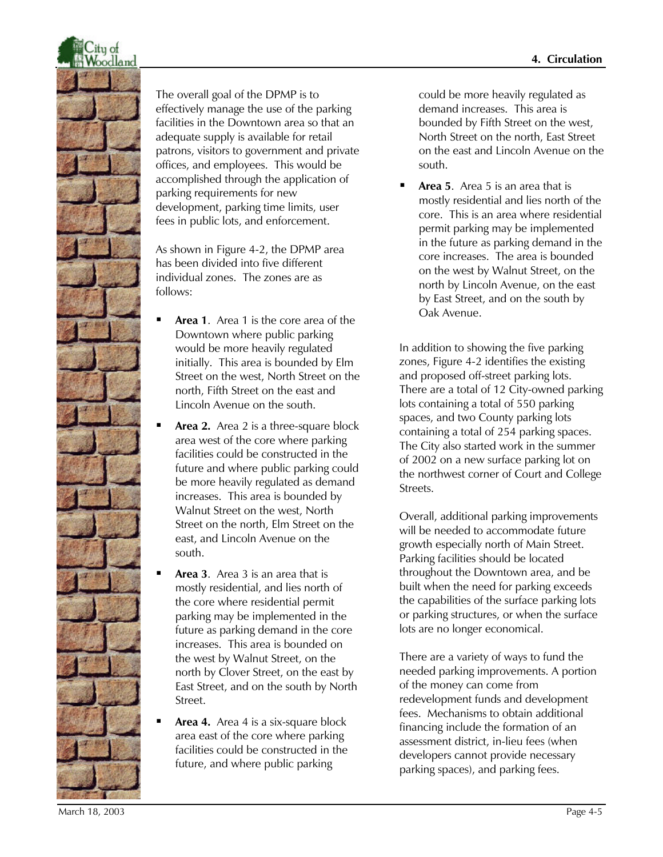

The overall goal of the DPMP is to effectively manage the use of the parking facilities in the Downtown area so that an adequate supply is available for retail patrons, visitors to government and private offices, and employees. This would be accomplished through the application of parking requirements for new development, parking time limits, user fees in public lots, and enforcement.

As shown in Figure 4-2, the DPMP area has been divided into five different individual zones. The zones are as follows:

- ß **Area 1**. Area 1 is the core area of the Downtown where public parking would be more heavily regulated initially. This area is bounded by Elm Street on the west, North Street on the north, Fifth Street on the east and Lincoln Avenue on the south.
- Area 2. Area 2 is a three-square block area west of the core where parking facilities could be constructed in the future and where public parking could be more heavily regulated as demand increases. This area is bounded by Walnut Street on the west, North Street on the north, Elm Street on the east, and Lincoln Avenue on the south.
- ß **Area 3**. Area 3 is an area that is mostly residential, and lies north of the core where residential permit parking may be implemented in the future as parking demand in the core increases. This area is bounded on the west by Walnut Street, on the north by Clover Street, on the east by East Street, and on the south by North Street.
- ß **Area 4.** Area 4 is a six-square block area east of the core where parking facilities could be constructed in the future, and where public parking

could be more heavily regulated as demand increases. This area is bounded by Fifth Street on the west, North Street on the north, East Street on the east and Lincoln Avenue on the south.

ß **Area 5**. Area 5 is an area that is mostly residential and lies north of the core. This is an area where residential permit parking may be implemented in the future as parking demand in the core increases. The area is bounded on the west by Walnut Street, on the north by Lincoln Avenue, on the east by East Street, and on the south by Oak Avenue.

In addition to showing the five parking zones, Figure 4-2 identifies the existing and proposed off-street parking lots. There are a total of 12 City-owned parking lots containing a total of 550 parking spaces, and two County parking lots containing a total of 254 parking spaces. The City also started work in the summer of 2002 on a new surface parking lot on the northwest corner of Court and College Streets.

Overall, additional parking improvements will be needed to accommodate future growth especially north of Main Street. Parking facilities should be located throughout the Downtown area, and be built when the need for parking exceeds the capabilities of the surface parking lots or parking structures, or when the surface lots are no longer economical.

There are a variety of ways to fund the needed parking improvements. A portion of the money can come from redevelopment funds and development fees. Mechanisms to obtain additional financing include the formation of an assessment district, in-lieu fees (when developers cannot provide necessary parking spaces), and parking fees.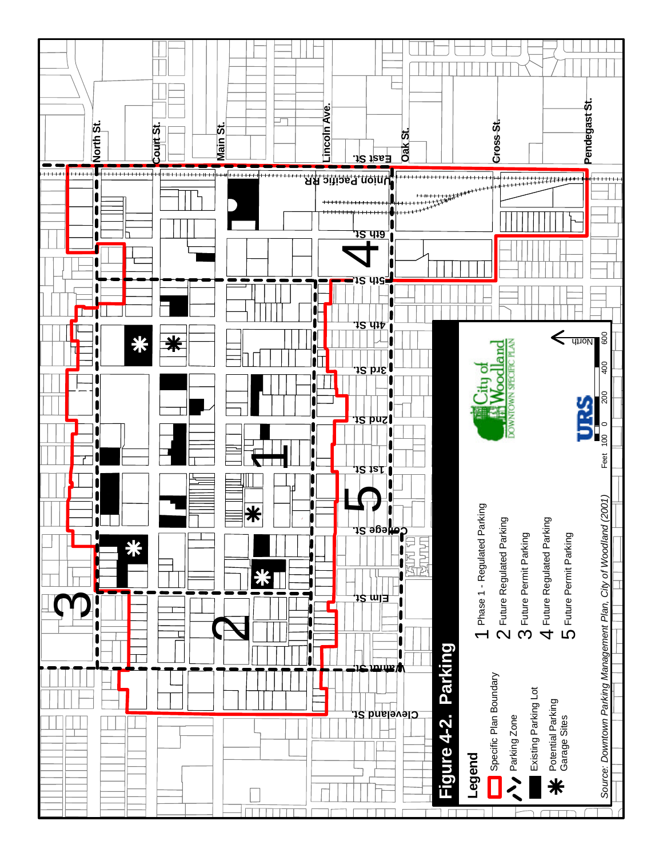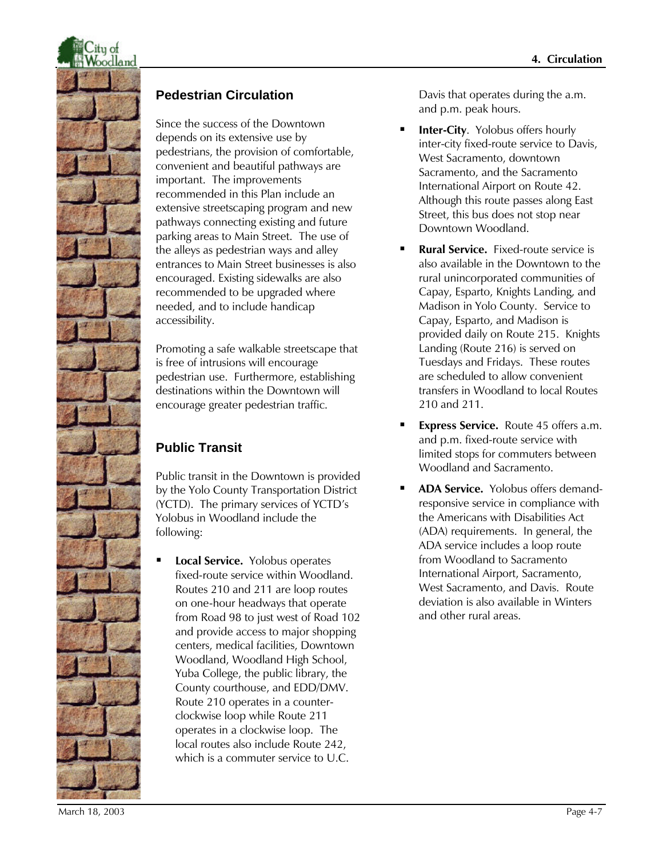

### **Pedestrian Circulation**

Since the success of the Downtown depends on its extensive use by pedestrians, the provision of comfortable, convenient and beautiful pathways are important. The improvements recommended in this Plan include an extensive streetscaping program and new pathways connecting existing and future parking areas to Main Street. The use of the alleys as pedestrian ways and alley entrances to Main Street businesses is also encouraged. Existing sidewalks are also recommended to be upgraded where needed, and to include handicap accessibility.

Promoting a safe walkable streetscape that is free of intrusions will encourage pedestrian use. Furthermore, establishing destinations within the Downtown will encourage greater pedestrian traffic.

# **Public Transit**

Public transit in the Downtown is provided by the Yolo County Transportation District (YCTD). The primary services of YCTD's Yolobus in Woodland include the following:

ß **Local Service.** Yolobus operates fixed-route service within Woodland. Routes 210 and 211 are loop routes on one-hour headways that operate from Road 98 to just west of Road 102 and provide access to major shopping centers, medical facilities, Downtown Woodland, Woodland High School, Yuba College, the public library, the County courthouse, and EDD/DMV. Route 210 operates in a counterclockwise loop while Route 211 operates in a clockwise loop. The local routes also include Route 242, which is a commuter service to U.C.

Davis that operates during the a.m. and p.m. peak hours.

- **Inter-City.** Yolobus offers hourly inter-city fixed-route service to Davis, West Sacramento, downtown Sacramento, and the Sacramento International Airport on Route 42. Although this route passes along East Street, this bus does not stop near Downtown Woodland.
- ß **Rural Service.** Fixed-route service is also available in the Downtown to the rural unincorporated communities of Capay, Esparto, Knights Landing, and Madison in Yolo County. Service to Capay, Esparto, and Madison is provided daily on Route 215. Knights Landing (Route 216) is served on Tuesdays and Fridays. These routes are scheduled to allow convenient transfers in Woodland to local Routes 210 and 211.
- ß **Express Service.** Route 45 offers a.m. and p.m. fixed-route service with limited stops for commuters between Woodland and Sacramento.
- ß **ADA Service.** Yolobus offers demandresponsive service in compliance with the Americans with Disabilities Act (ADA) requirements. In general, the ADA service includes a loop route from Woodland to Sacramento International Airport, Sacramento, West Sacramento, and Davis. Route deviation is also available in Winters and other rural areas.